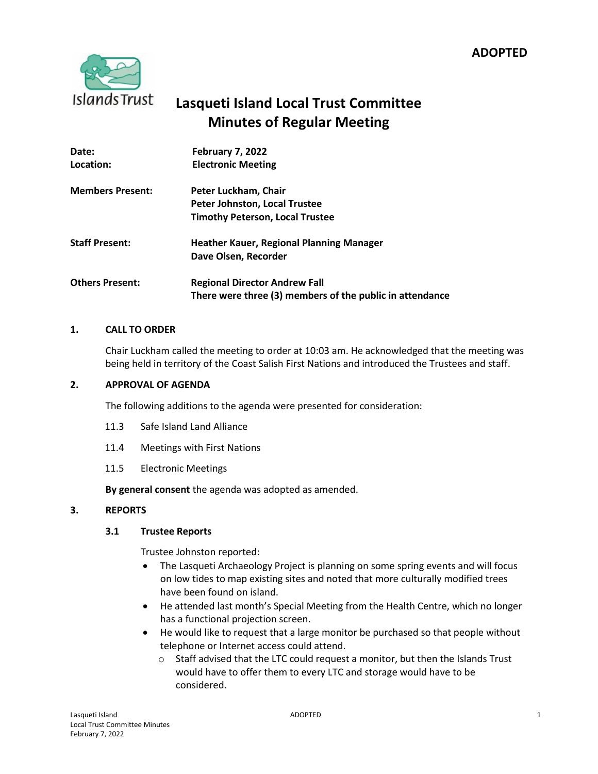

# **Lasqueti Island Local Trust Committee Minutes of Regular Meeting**

| Date:                   | <b>February 7, 2022</b>                                  |
|-------------------------|----------------------------------------------------------|
| Location:               | <b>Electronic Meeting</b>                                |
| <b>Members Present:</b> | Peter Luckham, Chair                                     |
|                         | Peter Johnston, Local Trustee                            |
|                         | <b>Timothy Peterson, Local Trustee</b>                   |
| <b>Staff Present:</b>   | <b>Heather Kauer, Regional Planning Manager</b>          |
|                         | Dave Olsen, Recorder                                     |
| <b>Others Present:</b>  | <b>Regional Director Andrew Fall</b>                     |
|                         | There were three (3) members of the public in attendance |

# **1. CALL TO ORDER**

Chair Luckham called the meeting to order at 10:03 am. He acknowledged that the meeting was being held in territory of the Coast Salish First Nations and introduced the Trustees and staff.

# **2. APPROVAL OF AGENDA**

The following additions to the agenda were presented for consideration:

- 11.3 Safe Island Land Alliance
- 11.4 Meetings with First Nations
- 11.5 Electronic Meetings

**By general consent** the agenda was adopted as amended.

# **3. REPORTS**

# **3.1 Trustee Reports**

Trustee Johnston reported:

- The Lasqueti Archaeology Project is planning on some spring events and will focus on low tides to map existing sites and noted that more culturally modified trees have been found on island.
- He attended last month's Special Meeting from the Health Centre, which no longer has a functional projection screen.
- He would like to request that a large monitor be purchased so that people without telephone or Internet access could attend.
	- o Staff advised that the LTC could request a monitor, but then the Islands Trust would have to offer them to every LTC and storage would have to be considered.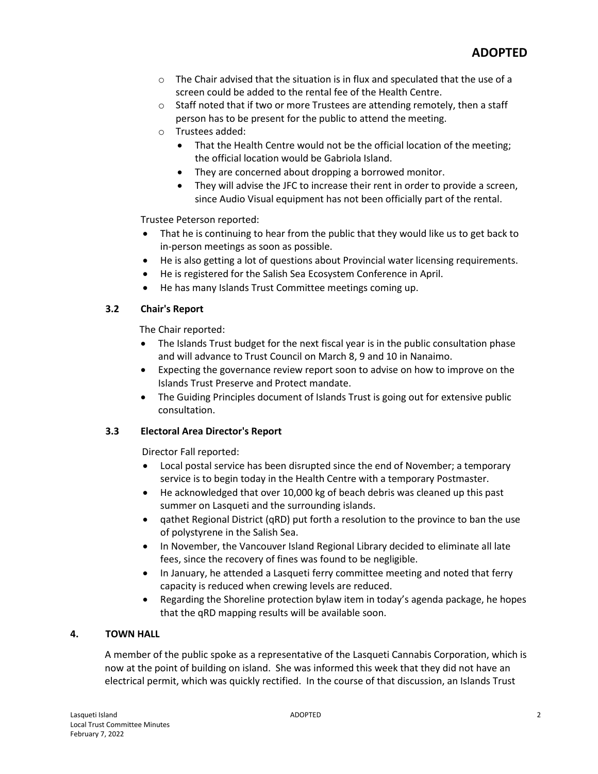- $\circ$  The Chair advised that the situation is in flux and speculated that the use of a screen could be added to the rental fee of the Health Centre.
- $\circ$  Staff noted that if two or more Trustees are attending remotely, then a staff person has to be present for the public to attend the meeting.
- o Trustees added:
	- That the Health Centre would not be the official location of the meeting; the official location would be Gabriola Island.
	- They are concerned about dropping a borrowed monitor.
	- They will advise the JFC to increase their rent in order to provide a screen, since Audio Visual equipment has not been officially part of the rental.

Trustee Peterson reported:

- That he is continuing to hear from the public that they would like us to get back to in-person meetings as soon as possible.
- He is also getting a lot of questions about Provincial water licensing requirements.
- He is registered for the Salish Sea Ecosystem Conference in April.
- He has many Islands Trust Committee meetings coming up.

# **3.2 Chair's Report**

The Chair reported:

- The Islands Trust budget for the next fiscal year is in the public consultation phase and will advance to Trust Council on March 8, 9 and 10 in Nanaimo.
- Expecting the governance review report soon to advise on how to improve on the Islands Trust Preserve and Protect mandate.
- The Guiding Principles document of Islands Trust is going out for extensive public consultation.

# **3.3 Electoral Area Director's Report**

Director Fall reported:

- Local postal service has been disrupted since the end of November; a temporary service is to begin today in the Health Centre with a temporary Postmaster.
- He acknowledged that over 10,000 kg of beach debris was cleaned up this past summer on Lasqueti and the surrounding islands.
- qathet Regional District (qRD) put forth a resolution to the province to ban the use of polystyrene in the Salish Sea.
- In November, the Vancouver Island Regional Library decided to eliminate all late fees, since the recovery of fines was found to be negligible.
- In January, he attended a Lasqueti ferry committee meeting and noted that ferry capacity is reduced when crewing levels are reduced.
- Regarding the Shoreline protection bylaw item in today's agenda package, he hopes that the qRD mapping results will be available soon.

# **4. TOWN HALL**

A member of the public spoke as a representative of the Lasqueti Cannabis Corporation, which is now at the point of building on island. She was informed this week that they did not have an electrical permit, which was quickly rectified. In the course of that discussion, an Islands Trust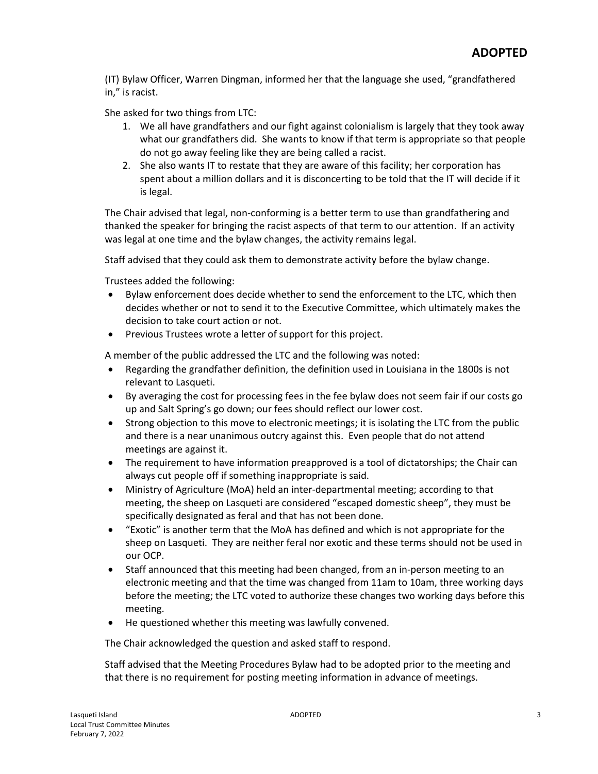(IT) Bylaw Officer, Warren Dingman, informed her that the language she used, "grandfathered in," is racist.

She asked for two things from LTC:

- 1. We all have grandfathers and our fight against colonialism is largely that they took away what our grandfathers did. She wants to know if that term is appropriate so that people do not go away feeling like they are being called a racist.
- 2. She also wants IT to restate that they are aware of this facility; her corporation has spent about a million dollars and it is disconcerting to be told that the IT will decide if it is legal.

The Chair advised that legal, non-conforming is a better term to use than grandfathering and thanked the speaker for bringing the racist aspects of that term to our attention. If an activity was legal at one time and the bylaw changes, the activity remains legal.

Staff advised that they could ask them to demonstrate activity before the bylaw change.

Trustees added the following:

- Bylaw enforcement does decide whether to send the enforcement to the LTC, which then decides whether or not to send it to the Executive Committee, which ultimately makes the decision to take court action or not.
- Previous Trustees wrote a letter of support for this project.

A member of the public addressed the LTC and the following was noted:

- Regarding the grandfather definition, the definition used in Louisiana in the 1800s is not relevant to Lasqueti.
- By averaging the cost for processing fees in the fee bylaw does not seem fair if our costs go up and Salt Spring's go down; our fees should reflect our lower cost.
- Strong objection to this move to electronic meetings; it is isolating the LTC from the public and there is a near unanimous outcry against this. Even people that do not attend meetings are against it.
- The requirement to have information preapproved is a tool of dictatorships; the Chair can always cut people off if something inappropriate is said.
- Ministry of Agriculture (MoA) held an inter-departmental meeting; according to that meeting, the sheep on Lasqueti are considered "escaped domestic sheep", they must be specifically designated as feral and that has not been done.
- "Exotic" is another term that the MoA has defined and which is not appropriate for the sheep on Lasqueti. They are neither feral nor exotic and these terms should not be used in our OCP.
- Staff announced that this meeting had been changed, from an in-person meeting to an electronic meeting and that the time was changed from 11am to 10am, three working days before the meeting; the LTC voted to authorize these changes two working days before this meeting.
- He questioned whether this meeting was lawfully convened.

The Chair acknowledged the question and asked staff to respond.

Staff advised that the Meeting Procedures Bylaw had to be adopted prior to the meeting and that there is no requirement for posting meeting information in advance of meetings.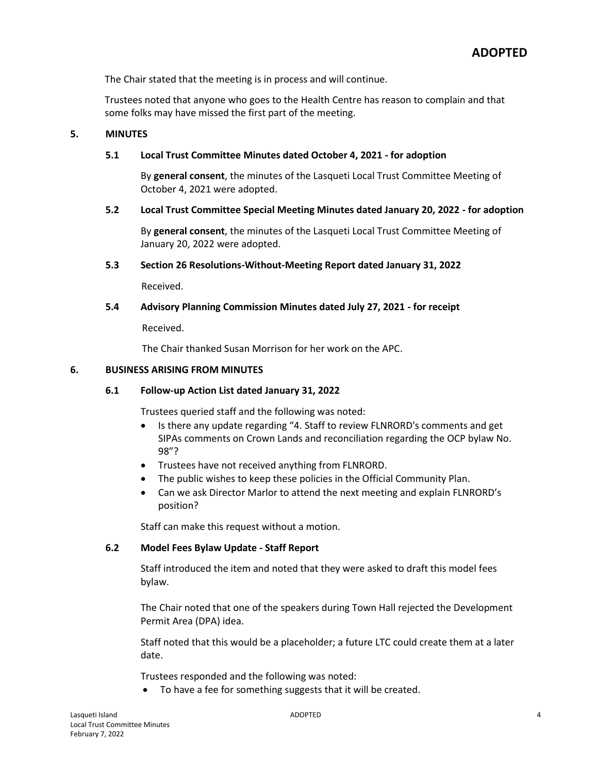The Chair stated that the meeting is in process and will continue.

Trustees noted that anyone who goes to the Health Centre has reason to complain and that some folks may have missed the first part of the meeting.

#### **5. MINUTES**

#### **5.1 Local Trust Committee Minutes dated October 4, 2021 - for adoption**

By **general consent**, the minutes of the Lasqueti Local Trust Committee Meeting of October 4, 2021 were adopted.

#### **5.2 Local Trust Committee Special Meeting Minutes dated January 20, 2022 - for adoption**

By **general consent**, the minutes of the Lasqueti Local Trust Committee Meeting of January 20, 2022 were adopted.

#### **5.3 Section 26 Resolutions-Without-Meeting Report dated January 31, 2022**

Received.

#### **5.4 Advisory Planning Commission Minutes dated July 27, 2021 - for receipt**

Received.

The Chair thanked Susan Morrison for her work on the APC.

#### **6. BUSINESS ARISING FROM MINUTES**

#### **6.1 Follow-up Action List dated January 31, 2022**

Trustees queried staff and the following was noted:

- Is there any update regarding "4. Staff to review FLNRORD's comments and get SIPAs comments on Crown Lands and reconciliation regarding the OCP bylaw No. 98"?
- Trustees have not received anything from FLNRORD.
- The public wishes to keep these policies in the Official Community Plan.
- Can we ask Director Marlor to attend the next meeting and explain FLNRORD's position?

Staff can make this request without a motion.

# **6.2 Model Fees Bylaw Update - Staff Report**

Staff introduced the item and noted that they were asked to draft this model fees bylaw.

The Chair noted that one of the speakers during Town Hall rejected the Development Permit Area (DPA) idea.

Staff noted that this would be a placeholder; a future LTC could create them at a later date.

Trustees responded and the following was noted:

To have a fee for something suggests that it will be created.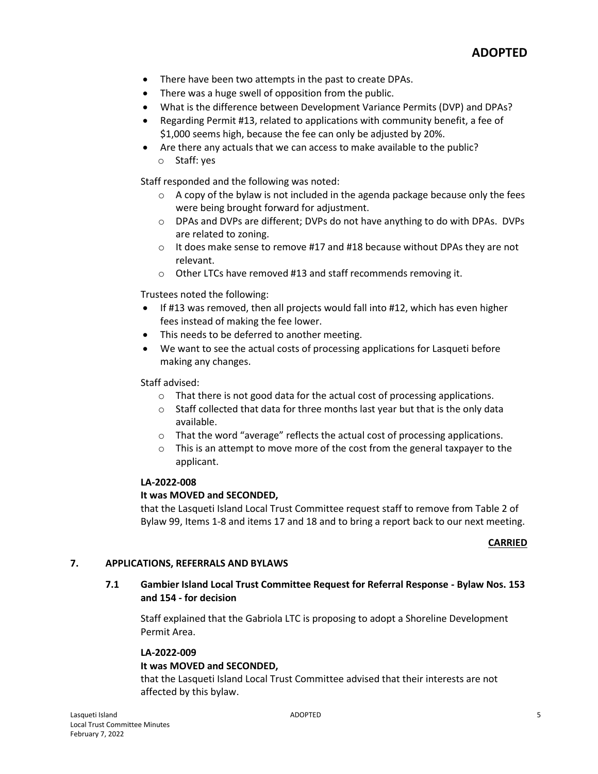- There have been two attempts in the past to create DPAs.
- There was a huge swell of opposition from the public.
- What is the difference between Development Variance Permits (DVP) and DPAs?
- Regarding Permit #13, related to applications with community benefit, a fee of \$1,000 seems high, because the fee can only be adjusted by 20%.
- Are there any actuals that we can access to make available to the public? o Staff: yes

Staff responded and the following was noted:

- $\circ$  A copy of the bylaw is not included in the agenda package because only the fees were being brought forward for adjustment.
- o DPAs and DVPs are different; DVPs do not have anything to do with DPAs. DVPs are related to zoning.
- $\circ$  It does make sense to remove #17 and #18 because without DPAs they are not relevant.
- o Other LTCs have removed #13 and staff recommends removing it.

Trustees noted the following:

- If #13 was removed, then all projects would fall into #12, which has even higher fees instead of making the fee lower.
- This needs to be deferred to another meeting.
- We want to see the actual costs of processing applications for Lasqueti before making any changes.

Staff advised:

- o That there is not good data for the actual cost of processing applications.
- $\circ$  Staff collected that data for three months last year but that is the only data available.
- o That the word "average" reflects the actual cost of processing applications.
- $\circ$  This is an attempt to move more of the cost from the general taxpayer to the applicant.

# **LA-2022-008**

# **It was MOVED and SECONDED,**

that the Lasqueti Island Local Trust Committee request staff to remove from Table 2 of Bylaw 99, Items 1-8 and items 17 and 18 and to bring a report back to our next meeting.

# **CARRIED**

# **7. APPLICATIONS, REFERRALS AND BYLAWS**

# **7.1 Gambier Island Local Trust Committee Request for Referral Response - Bylaw Nos. 153 and 154 - for decision**

Staff explained that the Gabriola LTC is proposing to adopt a Shoreline Development Permit Area.

# **LA-2022-009**

# **It was MOVED and SECONDED,**

that the Lasqueti Island Local Trust Committee advised that their interests are not affected by this bylaw.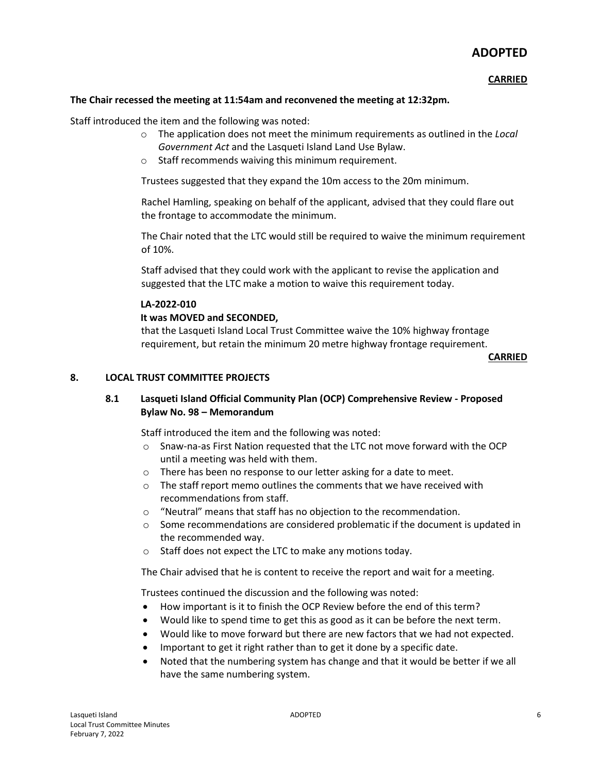# **ADOPTED**

# **CARRIED**

#### **The Chair recessed the meeting at 11:54am and reconvened the meeting at 12:32pm.**

Staff introduced the item and the following was noted:

- o The application does not meet the minimum requirements as outlined in the *Local Government Act* and the Lasqueti Island Land Use Bylaw.
- o Staff recommends waiving this minimum requirement.

Trustees suggested that they expand the 10m access to the 20m minimum.

Rachel Hamling, speaking on behalf of the applicant, advised that they could flare out the frontage to accommodate the minimum.

The Chair noted that the LTC would still be required to waive the minimum requirement of 10%.

Staff advised that they could work with the applicant to revise the application and suggested that the LTC make a motion to waive this requirement today.

#### **LA-2022-010**

#### **It was MOVED and SECONDED,**

that the Lasqueti Island Local Trust Committee waive the 10% highway frontage requirement, but retain the minimum 20 metre highway frontage requirement.

#### **CARRIED**

#### **8. LOCAL TRUST COMMITTEE PROJECTS**

# **8.1 Lasqueti Island Official Community Plan (OCP) Comprehensive Review - Proposed Bylaw No. 98 – Memorandum**

Staff introduced the item and the following was noted:

- o Snaw-na-as First Nation requested that the LTC not move forward with the OCP until a meeting was held with them.
- o There has been no response to our letter asking for a date to meet.
- $\circ$  The staff report memo outlines the comments that we have received with recommendations from staff.
- o "Neutral" means that staff has no objection to the recommendation.
- $\circ$  Some recommendations are considered problematic if the document is updated in the recommended way.
- o Staff does not expect the LTC to make any motions today.

The Chair advised that he is content to receive the report and wait for a meeting.

Trustees continued the discussion and the following was noted:

- How important is it to finish the OCP Review before the end of this term?
- Would like to spend time to get this as good as it can be before the next term.
- Would like to move forward but there are new factors that we had not expected.
- Important to get it right rather than to get it done by a specific date.
- Noted that the numbering system has change and that it would be better if we all have the same numbering system.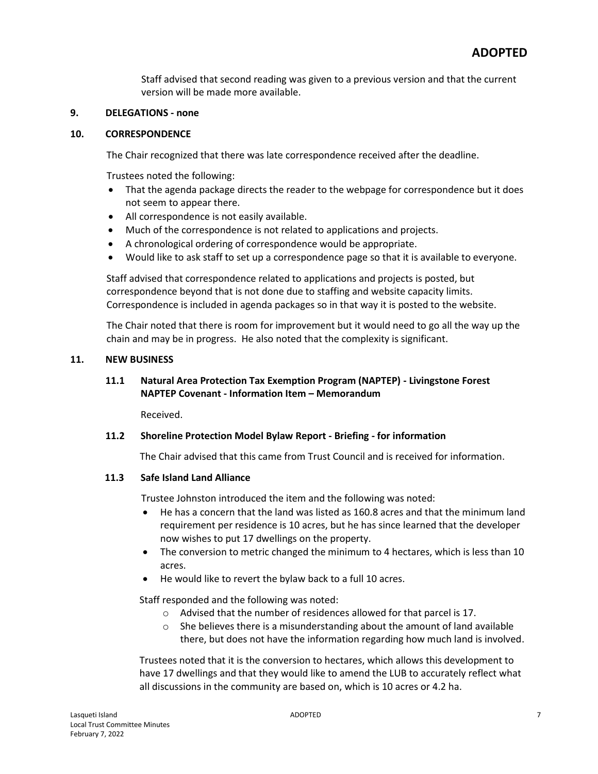Staff advised that second reading was given to a previous version and that the current version will be made more available.

# **9. DELEGATIONS - none**

#### **10. CORRESPONDENCE**

The Chair recognized that there was late correspondence received after the deadline.

Trustees noted the following:

- That the agenda package directs the reader to the webpage for correspondence but it does not seem to appear there.
- All correspondence is not easily available.
- Much of the correspondence is not related to applications and projects.
- A chronological ordering of correspondence would be appropriate.
- Would like to ask staff to set up a correspondence page so that it is available to everyone.

Staff advised that correspondence related to applications and projects is posted, but correspondence beyond that is not done due to staffing and website capacity limits. Correspondence is included in agenda packages so in that way it is posted to the website.

The Chair noted that there is room for improvement but it would need to go all the way up the chain and may be in progress. He also noted that the complexity is significant.

# **11. NEW BUSINESS**

# **11.1 Natural Area Protection Tax Exemption Program (NAPTEP) - Livingstone Forest NAPTEP Covenant - Information Item – Memorandum**

Received.

# **11.2 Shoreline Protection Model Bylaw Report - Briefing - for information**

The Chair advised that this came from Trust Council and is received for information.

#### **11.3 Safe Island Land Alliance**

Trustee Johnston introduced the item and the following was noted:

- He has a concern that the land was listed as 160.8 acres and that the minimum land requirement per residence is 10 acres, but he has since learned that the developer now wishes to put 17 dwellings on the property.
- The conversion to metric changed the minimum to 4 hectares, which is less than 10 acres.
- He would like to revert the bylaw back to a full 10 acres.

Staff responded and the following was noted:

- o Advised that the number of residences allowed for that parcel is 17.
- $\circ$  She believes there is a misunderstanding about the amount of land available there, but does not have the information regarding how much land is involved.

Trustees noted that it is the conversion to hectares, which allows this development to have 17 dwellings and that they would like to amend the LUB to accurately reflect what all discussions in the community are based on, which is 10 acres or 4.2 ha.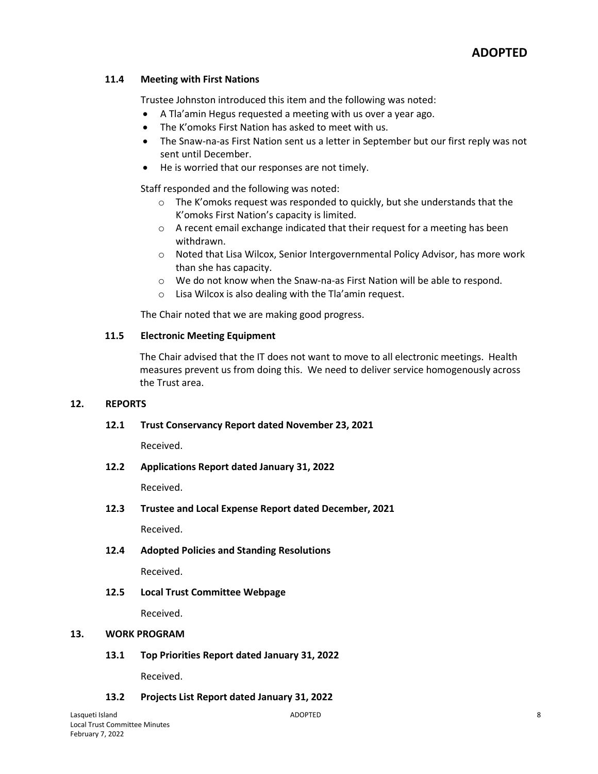# **11.4 Meeting with First Nations**

Trustee Johnston introduced this item and the following was noted:

- A Tla'amin Hegus requested a meeting with us over a year ago.
- The K'omoks First Nation has asked to meet with us.
- The Snaw-na-as First Nation sent us a letter in September but our first reply was not sent until December.
- He is worried that our responses are not timely.

Staff responded and the following was noted:

- o The K'omoks request was responded to quickly, but she understands that the K'omoks First Nation's capacity is limited.
- o A recent email exchange indicated that their request for a meeting has been withdrawn.
- o Noted that Lisa Wilcox, Senior Intergovernmental Policy Advisor, has more work than she has capacity.
- o We do not know when the Snaw-na-as First Nation will be able to respond.
- o Lisa Wilcox is also dealing with the Tla'amin request.

The Chair noted that we are making good progress.

# **11.5 Electronic Meeting Equipment**

The Chair advised that the IT does not want to move to all electronic meetings. Health measures prevent us from doing this. We need to deliver service homogenously across the Trust area.

# **12. REPORTS**

# **12.1 Trust Conservancy Report dated November 23, 2021**

Received.

# **12.2 Applications Report dated January 31, 2022**

Received.

# **12.3 Trustee and Local Expense Report dated December, 2021**

Received.

**12.4 Adopted Policies and Standing Resolutions**

Received.

# **12.5 Local Trust Committee Webpage**

Received.

# **13. WORK PROGRAM**

# **13.1 Top Priorities Report dated January 31, 2022**

Received.

# **13.2 Projects List Report dated January 31, 2022**